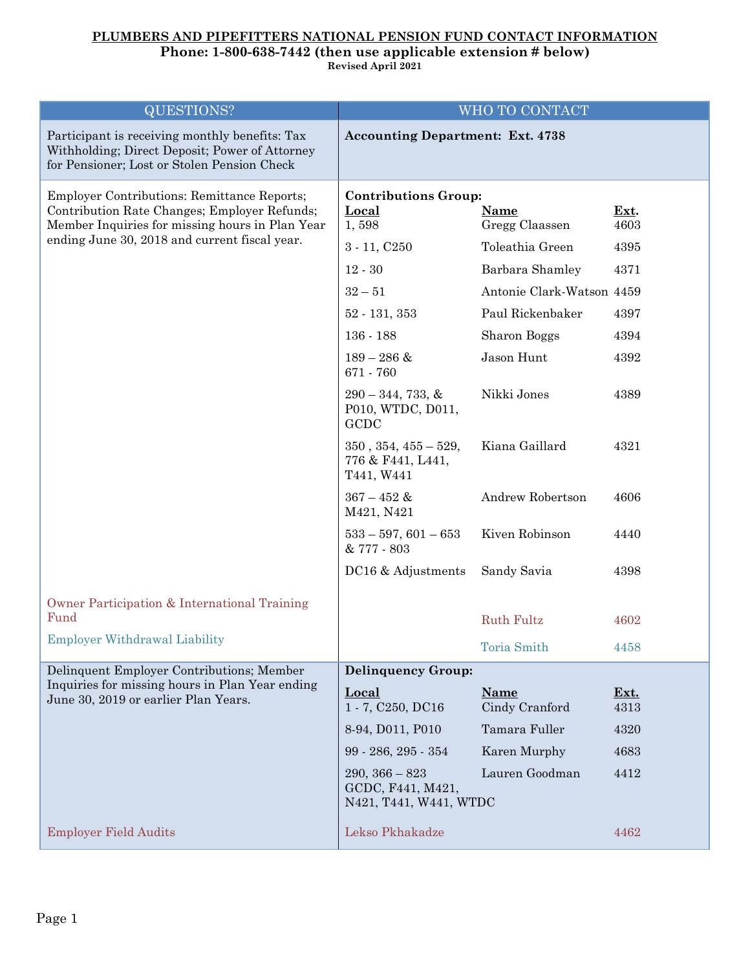## **PLUMBERS AND PIPEFITTERS NATIONAL PENSION FUND CONTACT INFORMATION**

## **Phone: 1-800-638-7442 (then use applicable extension # below)**

**Revised April 2021**

| <b>QUESTIONS?</b>                                                                                                                               | WHO TO CONTACT                                                  |                               |              |
|-------------------------------------------------------------------------------------------------------------------------------------------------|-----------------------------------------------------------------|-------------------------------|--------------|
| Participant is receiving monthly benefits: Tax<br>Withholding; Direct Deposit; Power of Attorney<br>for Pensioner; Lost or Stolen Pension Check | <b>Accounting Department: Ext. 4738</b>                         |                               |              |
| Employer Contributions: Remittance Reports;<br>Contribution Rate Changes; Employer Refunds;                                                     | <b>Contributions Group:</b><br>Local                            | <b>Name</b>                   | Ext.         |
| Member Inquiries for missing hours in Plan Year<br>ending June 30, 2018 and current fiscal year.                                                | 1,598                                                           | Gregg Claassen                | 4603         |
|                                                                                                                                                 | $3 - 11, C250$                                                  | Toleathia Green               | 4395         |
|                                                                                                                                                 | $12 - 30$                                                       | Barbara Shamley               | 4371         |
|                                                                                                                                                 | $32 - 51$                                                       | Antonie Clark-Watson 4459     |              |
|                                                                                                                                                 | $52 - 131, 353$                                                 | Paul Rickenbaker              | 4397         |
|                                                                                                                                                 | $136 - 188$                                                     | Sharon Boggs                  | 4394         |
|                                                                                                                                                 | $189 - 286$ &<br>671 - 760                                      | Jason Hunt                    | 4392         |
|                                                                                                                                                 | $290 - 344, 733, \&$<br>P010, WTDC, D011,<br>GCDC               | Nikki Jones                   | 4389         |
|                                                                                                                                                 | $350, 354, 455 - 529,$<br>776 & F441, L441,<br>T441, W441       | Kiana Gaillard                | 4321         |
|                                                                                                                                                 | $367 - 452$ &<br>M421, N421                                     | Andrew Robertson              | 4606         |
|                                                                                                                                                 | $533 - 597, 601 - 653$<br>& 777 - 803                           | Kiven Robinson                | 4440         |
|                                                                                                                                                 | DC16 & Adjustments                                              | Sandy Savia                   | 4398         |
| Owner Participation & International Training                                                                                                    |                                                                 |                               |              |
| Fund                                                                                                                                            |                                                                 | <b>Ruth Fultz</b>             | 4602         |
| <b>Employer Withdrawal Liability</b>                                                                                                            |                                                                 | Toria Smith                   | 4458         |
| Delinquent Employer Contributions; Member<br>Inquiries for missing hours in Plan Year ending<br>June 30, 2019 or earlier Plan Years.            | <b>Delinquency Group:</b>                                       |                               |              |
|                                                                                                                                                 | Local<br>1 - 7, C250, DC16                                      | <b>Name</b><br>Cindy Cranford | Ext.<br>4313 |
|                                                                                                                                                 | 8-94, D011, P010                                                | Tamara Fuller                 | 4320         |
|                                                                                                                                                 | 99 - 286, 295 - 354                                             | Karen Murphy                  | 4683         |
|                                                                                                                                                 | $290, 366 - 823$<br>GCDC, F441, M421,<br>N421, T441, W441, WTDC | Lauren Goodman                | 4412         |
| <b>Employer Field Audits</b>                                                                                                                    | Lekso Pkhakadze                                                 |                               | 4462         |